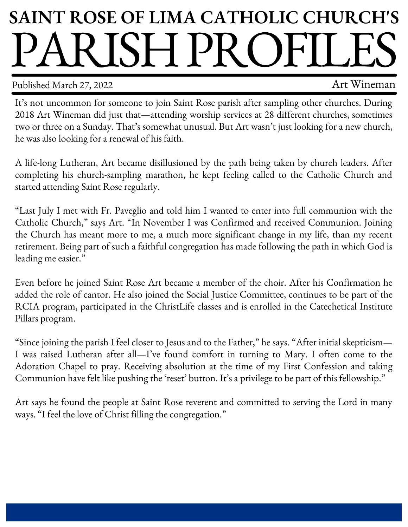## **SAINT ROSE OF LIMA CATHOLIC CHURCH'S** ARISHPROFIL

Published March 27, 2022 2003 and the control of the Art Wineman

It's not uncommon for someone to join Saint Rose parish after sampling other churches. During 2018 Art Wineman did just that—attending worship services at 28 different churches, sometimes two or three on a Sunday. That's somewhat unusual. But Art wasn't just looking for a new church, he was also looking for a renewal of his faith.

A life-long Lutheran, Art became disillusioned by the path being taken by church leaders. After completing his church-sampling marathon, he kept feeling called to the Catholic Church and started attending Saint Rose regularly.

"Last July I met with Fr. Paveglio and told him I wanted to enter into full communion with the Catholic Church," says Art. "In November I was Confirmed and received Communion. Joining the Church has meant more to me, a much more significant change in my life, than my recent retirement. Being part of such a faithful congregation has made following the path in which God is leading me easier."

Even before he joined Saint Rose Art became a member of the choir. After his Confirmation he added the role of cantor. He also joined the Social Justice Committee, continues to be part of the RCIA program, participated in the ChristLife classes and is enrolled in the Catechetical Institute Pillars program.

"Since joining the parish I feel closer to Jesus and to the Father," he says. "After initial skepticism— I was raised Lutheran after all—I've found comfort in turning to Mary. I often come to the Adoration Chapel to pray. Receiving absolution at the time of my First Confession and taking Communion have felt like pushing the 'reset' button. It's a privilege to be part of this fellowship."

Art says he found the people at Saint Rose reverent and committed to serving the Lord in many ways. "I feel the love of Christ filling the congregation."